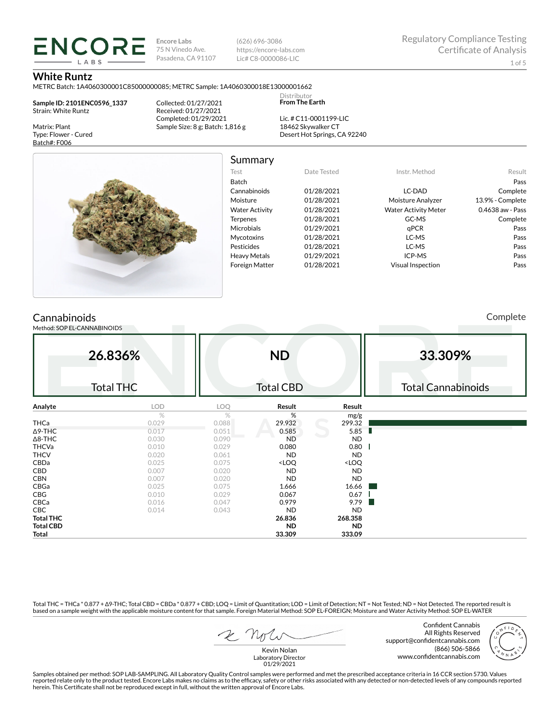**Encore Labs** 75 N Vinedo Ave. Pasadena, CA 91107

(626) 696-3086 https://encore-labs.com Lic# C8-0000086-LIC

Summary

Distributor **From The Earth**

## **White Runtz**

METRC Batch: 1A4060300001C85000000085; METRC Sample: 1A4060300018E13000001662

**Sample ID: 2101ENC0596\_1337** Strain: White Runtz

Matrix: Plant Type: Flower - Cured Batch#: F006

**ENCORE IARS** 

> Collected: 01/27/2021 Received: 01/27/2021 Completed: 01/29/2021 Sample Size: 8 g; Batch: 1,816 g

Lic. # C11-0001199-LIC 18462 Skywalker CT Desert Hot Springs, CA 92240



Test Date Tested Instr. Method Result Batch Pass Cannabinoids 01/28/2021 LC-DAD Complete Moisture 01/28/2021 Moisture Analyzer 13.9% - Complete Water Activity  $01/28/2021$  Water Activity Meter  $0.4638$  aw - Pass Terpenes 01/28/2021 GC-MS Complete Microbials 01/29/2021 qPCR **qPCR** Pass Mycotoxins 01/28/2021 LC-MS Pass Pesticides 01/28/2021 LC-MS Pass Heavy Metals 01/29/2021 ICP-MS Pass Foreign Matter 01/28/2021 Visual Inspection Pass

# **Cannabinoids**

Method: SOP EL-CANNABINOIDS

Complete

|                  | 26.836%          |       | <b>ND</b>                                                |                              | 33.309%                   |
|------------------|------------------|-------|----------------------------------------------------------|------------------------------|---------------------------|
|                  | <b>Total THC</b> |       | <b>Total CBD</b>                                         |                              | <b>Total Cannabinoids</b> |
| Analyte          | <b>LOD</b>       | LOQ   | Result                                                   | Result                       |                           |
|                  | $\%$             | %     | %                                                        | mg/g                         |                           |
| THCa             | 0.029            | 0.088 | 29.932                                                   | 299.32                       |                           |
| ∆9-THC           | 0.017            | 0.051 | 0.585                                                    | 5.85<br>ш                    |                           |
| $\Delta$ 8-THC   | 0.030            | 0.090 | <b>ND</b>                                                | ND                           |                           |
| <b>THCVa</b>     | 0.010            | 0.029 | 0.080                                                    | 0.80                         |                           |
| <b>THCV</b>      | 0.020            | 0.061 | <b>ND</b>                                                | <b>ND</b>                    |                           |
| CBDa             | 0.025            | 0.075 | <loq< td=""><td><loq< td=""><td></td></loq<></td></loq<> | <loq< td=""><td></td></loq<> |                           |
| CBD              | 0.007            | 0.020 | <b>ND</b>                                                | <b>ND</b>                    |                           |
| <b>CBN</b>       | 0.007            | 0.020 | <b>ND</b>                                                | ND                           |                           |
| CBGa             | 0.025            | 0.075 | 1.666                                                    | 16.66                        |                           |
| CBG              | 0.010            | 0.029 | 0.067                                                    | 0.67                         |                           |
| CBCa             | 0.016            | 0.047 | 0.979                                                    | 9.79                         |                           |
| CBC              | 0.014            | 0.043 | <b>ND</b>                                                | <b>ND</b>                    |                           |
| <b>Total THC</b> |                  |       | 26.836                                                   | 268.358                      |                           |
| <b>Total CBD</b> |                  |       | <b>ND</b>                                                | <b>ND</b>                    |                           |
| Total            |                  |       | 33.309                                                   | 333.09                       |                           |

Total THC = THCa \* 0.877 + ∆9-THC; Total CBD = CBDa \* 0.877 + CBD; LOQ = Limit of Quantitation; LOD = Limit of Detection; NT = Not Tested; ND = Not Detected. The reported result is based on a sample weight with the applicable moisture content for that sample. Foreign Material Method: SOP EL-FOREIGN; Moisture and Water Activity Method: SOP EL-WATER

Confident Cannabis All Rights Reserved support@confidentcannabis.com (866) 506-5866 www.confidentcannabis.com



Kevin Nolan Laboratory Director 01/29/2021

Samples obtained per method: SOP LAB-SAMPLING. All Laboratory Quality Control samples were performed and met the prescribed acceptance criteria in 16 CCR section 5730. Values reported relate only to the product tested. Encore Labs makes no claims as to the efficacy, safety or other risks associated with any detected or non-detected levels of any compounds reported<br>herein. This Certificate shall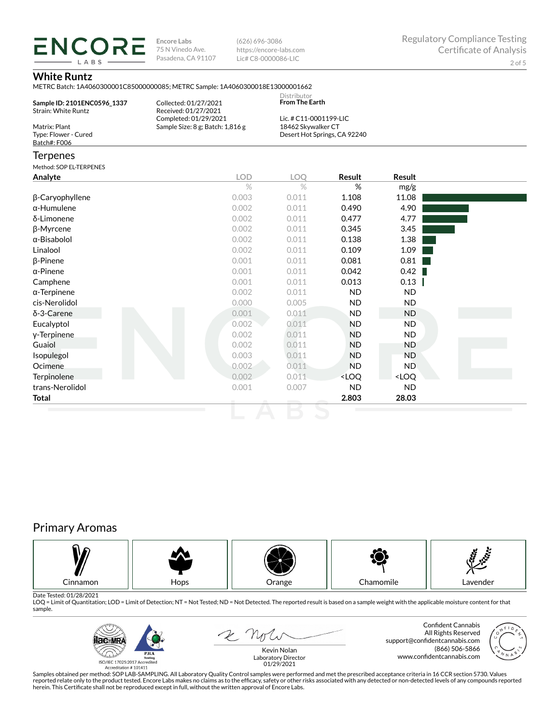**ENCORE Encore Labs** 75 N Vinedo Ave. Pasadena, CA 91107

(626) 696-3086 https://encore-labs.com Lic# C8-0000086-LIC

# **White Runtz**

LABS

|                                                           | METRC Batch: 1A4060300001C85000000085; METRC Sample: 1A4060300018E13000001662 |                                                         |                              |           |  |
|-----------------------------------------------------------|-------------------------------------------------------------------------------|---------------------------------------------------------|------------------------------|-----------|--|
| Sample ID: 2101ENC0596 1337<br><b>Strain: White Runtz</b> | Collected: 01/27/2021<br>Received: 01/27/2021<br>Completed: 01/29/2021        | Distributor<br>From The Earth<br>Lic. # C11-0001199-LIC |                              |           |  |
| Matrix: Plant<br>Type: Flower - Cured<br>Batch#: F006     | Sample Size: 8 g; Batch: 1,816 g                                              | 18462 Skywalker CT                                      | Desert Hot Springs, CA 92240 |           |  |
| <b>Terpenes</b>                                           |                                                                               |                                                         |                              |           |  |
| Method: SOP EL-TERPENES                                   |                                                                               |                                                         |                              |           |  |
| Analyte                                                   | <b>LOD</b>                                                                    | <b>LOO</b>                                              | Result                       | Result    |  |
|                                                           | $\%$                                                                          | $\%$                                                    | %                            | mg/g      |  |
| β-Caryophyllene                                           | 0.003                                                                         | 0.011                                                   | 1.108                        | 11.08     |  |
| $\alpha$ -Humulene                                        | 0.002                                                                         | 0.011                                                   | 0.490                        | 4.90      |  |
| δ-Limonene                                                | 0.002                                                                         | 0.011                                                   | 0.477                        | 4.77      |  |
| β-Myrcene                                                 | 0.002                                                                         | 0.011                                                   | 0.345                        | 3.45      |  |
| $\alpha$ -Bisabolol                                       | 0.002                                                                         | 0.011                                                   | 0.138                        | 1.38      |  |
| Linalool                                                  | 0.002                                                                         | 0.011                                                   | 0.109                        | 1.09      |  |
| $\beta$ -Pinene                                           | 0.001                                                                         | 0.011                                                   | 0.081                        | 0.81      |  |
| $\alpha$ -Pinene                                          | 0.001                                                                         | 0.011                                                   | 0.042                        | 0.42      |  |
| Camphene                                                  | 0.001                                                                         | 0.011                                                   | 0.013                        | 0.13      |  |
| $\alpha$ -Terpinene                                       | 0.002                                                                         | 0.011                                                   | <b>ND</b>                    | <b>ND</b> |  |
| cis-Nerolidol                                             | 0.000                                                                         | 0.005                                                   | <b>ND</b>                    | <b>ND</b> |  |
| $\delta$ -3-Carene                                        | 0.001                                                                         | 0.011                                                   | <b>ND</b>                    | <b>ND</b> |  |
| Eucalyptol                                                | 0.002                                                                         | 0.011                                                   | <b>ND</b>                    | <b>ND</b> |  |
| y-Terpinene                                               | 0.002                                                                         | 0.011                                                   | <b>ND</b>                    | <b>ND</b> |  |
| Guaiol                                                    | 0.002                                                                         | 0.011                                                   | <b>ND</b>                    | <b>ND</b> |  |
| Isopulegol                                                | 0.003                                                                         | 0.011                                                   | <b>ND</b>                    | <b>ND</b> |  |

Ocimene 0.002 0.011 ND ND Terpinolene <LOQ <LOQ <LOQ trans-Nerolidol 0.001 0.007 ND ND **Total 2.803 28.03**

# Primary Aromas



Date Tested: 01/28/2021<br>LOQ = Limit of Quantitation; LOD = Limit of Detection; NT = Not Tested; ND = Not Detected. The reported result is based on a sample weight with the applicable moisture content for that sample.



 $\mathcal{L}$   $\mathcal{N}_{\mathcal{J}}$ 

Confident Cannabis All Rights Reserved support@confidentcannabis.com (866) 506-5866 www.confidentcannabis.com



Kevin Nolan Laboratory Director 01/29/2021

Samples obtained per method: SOP LAB-SAMPLING. All Laboratory Quality Control samples were performed and met the prescribed acceptance criteria in 16 CCR section 5730. Values reported relate only to the product tested. Encore Labs makes no claims as to the efficacy, safety or other risks associated with any detected or non-detected levels of any compounds reported<br>herein. This Certificate shall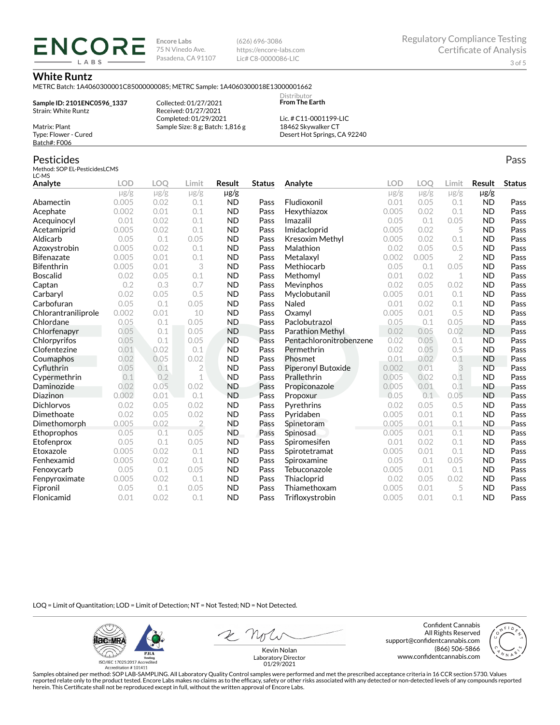**Encore Labs** 75 N Vinedo Ave. Pasadena, CA 91107 (626) 696-3086 https://encore-labs.com Lic# C8-0000086-LIC

> **Distributor From The Earth**

### **White Runtz**

Matrix: Plant Type: Flower - Cured Batch#: F006

METRC Batch: 1A4060300001C85000000085; METRC Sample: 1A4060300018E13000001662

**Sample ID: 2101ENC0596\_1337** Strain: White Runtz

**ENCORE IARS** 

> Collected: 01/27/2021 Received: 01/27/2021 Completed: 01/29/2021 Sample Size: 8 g; Batch: 1,816 g

Lic. # C11-0001199-LIC 18462 Skywalker CT Desert Hot Springs, CA 92240

#### Pesticides Method: SOP EL-PesticidesLCMS LC-MS **Analyte LOD LOQ Limit Result Status**  $\mu$ g/g  $\mu$ g/g  $\mu$ g/g  $\mu$ g/g Abamectin 0.005 0.02 0.1 ND Pass Acephate 0.002 0.01 0.1 ND Pass Acequinocyl 0.01 0.02 0.1 ND Pass Acetamiprid 0.005 0.02 0.1 ND Pass Aldicarb 0.05 0.1 0.05 ND Pass Azoxystrobin 0.005 0.02 0.1 ND Pass Bifenazate 0.005 0.01 0.1 ND Pass Bifenthrin 0.005 0.01 3 ND Pass Boscalid 0.02 0.05 0.1 ND Pass **Captan 12 0.2 0.3 0.7 ND Pass Carbaryl 0.02 0.05 0.5 ND Pass** Carbofuran 0.05 0.1 0.05 ND Pass Chlorantraniliprole 0.002 0.01 10 ND Pass Chlordane 0.05 0.1 0.05 ND Pass Chlorfenapyr 0.05 0.1 0.05 ND Pass Chlorpyrifos 0.05 0.1 0.05 ND Pass Clofentezine 0.01 0.02 0.1 ND Pass Coumaphos 0.02 0.05 0.02 ND Pass Cyfluthrin 0.05 0.1 2 ND Pass Cypermethrin 0.1 0.2 1 ND Pass Daminozide 0.02 0.05 0.02 ND Pass **Diazinon** 0.002 0.01 0.1 ND Pass Dichlorvos 0.02 0.05 0.02 ND Pass Dimethoate 0.02 0.05 0.02 ND Pass Dimethomorph 0.005 0.02 2 ND Pass Ethoprophos 0.05 0.1 0.05 ND Pass Etofenprox 0.05 0.1 0.05 ND Pass Etoxazole 0.005 0.02 0.1 ND Pass Fenhexamid 0.005 0.02 0.1 ND Pass Fenoxycarb 0.05 0.1 0.05 ND Pass Fenpyroximate 0.005 0.02 0.1 ND Pass Fipronil 0.05 0.1 0.05 ND Pass Flonicamid 0.01 0.02 0.1 ND Pass **Analyte LOD LOQ Limit Result Status**  $\mu$ g/g  $\mu$ g/g  $\mu$ g/g  $\mu$ g/g Fludioxonil 0.01 0.05 0.1 ND Pass Hexythiazox 0.005 0.02 0.1 ND Pass **Imazalil 11 0.05 0.1 0.05 ND Pass** Imidacloprid 0.005 0.02 5 ND Pass Kresoxim Methyl  $0.005$  0.02 0.1 ND Pass **Malathion** 0.02 0.05 0.5 **ND Pass** Metalaxyl 0.002 0.005 2 ND Pass Methiocarb 0.05 0.1 0.05 ND Pass **Methomyl** 0.01 0.02 1 **ND Pass** Mevinphos 0.02 0.05 0.02 ND Pass Myclobutanil 0.005 0.01 0.1 ND Pass **Naled 1200 0.01 0.02 0.1 ND Pass Oxamyl** 0.005 0.01 0.5 **ND Pass** Paclobutrazol 0.05 0.1 0.05 ND Pass Parathion Methyl 0.02 0.05 0.02 ND Pass Pentachloronitrobenzene 0.02 0.05 0.1 ND Pass Permethrin 0.02 0.05 0.5 ND Pass **Phosmet** 0.01 0.02 0.1 **ND Pass** Piperonyl Butoxide 0.002 0.01 3 ND Pass Prallethrin 0.005 0.02 0.1 ND Pass Propiconazole 0.005 0.01 0.1 ND Pass **Propoxur 1988 0.05 0.1 0.05 ND Pass Pyrethrins 0.02 0.05 0.5 ND Pass Pyridaben 1988 0.005 0.01 0.1 ND Pass Spinetoram 0.005 0.01 0.1 ND Pass** Spinosad 0.005 0.01 0.1 ND Pass Spiromesifen 0.01 0.02 0.1 ND Pass Spirotetramat 0.005 0.01 0.1 ND Pass Spiroxamine 0.05 0.1 0.05 ND Pass Tebuconazole 0.005 0.01 0.1 ND Pass Thiacloprid 0.02 0.05 0.02 ND Pass Thiamethoxam 0.005 0.01 5 ND Pass Trifloxystrobin 0.005 0.01 0.1 ND Pass

LOQ = Limit of Quantitation; LOD = Limit of Detection; NT = Not Tested; ND = Not Detected.

**ilac-MRA P.ILA** أيطيبك ISO/IEC 17025:2017 Ac

Accreditation #101411

2 Not

Confident Cannabis All Rights Reserved support@confidentcannabis.com (866) 506-5866 www.confidentcannabis.com



Kevin Nolan Laboratory Director 01/29/2021

Samples obtained per method: SOP LAB-SAMPLING. All Laboratory Quality Control samples were performed and met the prescribed acceptance criteria in 16 CCR section 5730. Values reported relate only to the product tested. Encore Labs makes no claims as to the efficacy, safety or other risks associated with any detected or non-detected levels of any compounds reported herein. This Certificate shall not be reproduced except in full, without the written approval of Encore Labs.

Pass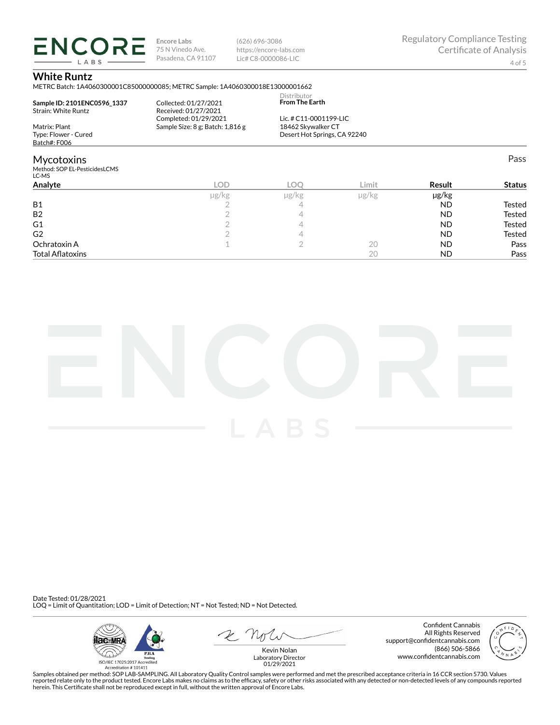**ENCORE Encore Labs** 75 N Vinedo Ave. Pasadena, CA 91107

(626) 696-3086 https://encore-labs.com Lic# C8-0000086-LIC

Pass

# **White Runtz**

LABS

METRC Batch: 1A4060300001C85000000085; METRC Sample: 1A4060300018E13000001662

| Sample ID: 2101ENC0596 1337<br><b>Strain: White Runtz</b> | Collected: 01/27/2021<br>Received: 01/27/2021<br>Completed: 01/29/2021 | Distributor<br><b>From The Earth</b><br>Lic. # C11-0001199-LIC<br>18462 Skywalker CT<br>Desert Hot Springs, CA 92240 |            |  |
|-----------------------------------------------------------|------------------------------------------------------------------------|----------------------------------------------------------------------------------------------------------------------|------------|--|
| Matrix: Plant                                             | Sample Size: 8 g; Batch: 1,816 g                                       |                                                                                                                      |            |  |
| Type: Flower - Cured                                      |                                                                        |                                                                                                                      |            |  |
| Batch#: F006                                              |                                                                        |                                                                                                                      |            |  |
| <b>Mycotoxins</b>                                         |                                                                        |                                                                                                                      |            |  |
| Method: SOP EL-PesticidesLCMS<br>LC-MS                    |                                                                        |                                                                                                                      |            |  |
| $A = 1.4$                                                 | $\overline{\wedge}$                                                    | $\overline{\wedge}$                                                                                                  | $l$ insite |  |

| Analyte                 | LOD        |            | Limit | Result    | <b>Status</b> |
|-------------------------|------------|------------|-------|-----------|---------------|
|                         | $\mu$ g/kg | $\mu$ g/kg | µg/kg | µg/kg     |               |
| <b>B1</b>               |            |            |       | <b>ND</b> | Tested        |
| <b>B2</b>               |            |            |       | <b>ND</b> | <b>Tested</b> |
| G <sub>1</sub>          |            |            |       | <b>ND</b> | <b>Tested</b> |
| G <sub>2</sub>          |            |            |       | <b>ND</b> | Tested        |
| Ochratoxin A            |            |            | 20    | <b>ND</b> | Pass          |
| <b>Total Aflatoxins</b> |            |            | 20    | <b>ND</b> | Pass          |



Date Tested: 01/28/2021 LOQ = Limit of Quantitation; LOD = Limit of Detection; NT = Not Tested; ND = Not Detected.



Confident Cannabis All Rights Reserved support@confidentcannabis.com (866) 506-5866 www.confidentcannabis.com



Kevin Nolan Laboratory Director 01/29/2021

Samples obtained per method: SOP LAB-SAMPLING. All Laboratory Quality Control samples were performed and met the prescribed acceptance criteria in 16 CCR section 5730. Values reported relate only to the product tested. Encore Labs makes no claims as to the efficacy, safety or other risks associated with any detected or non-detected levels of any compounds reported<br>herein. This Certificate shall